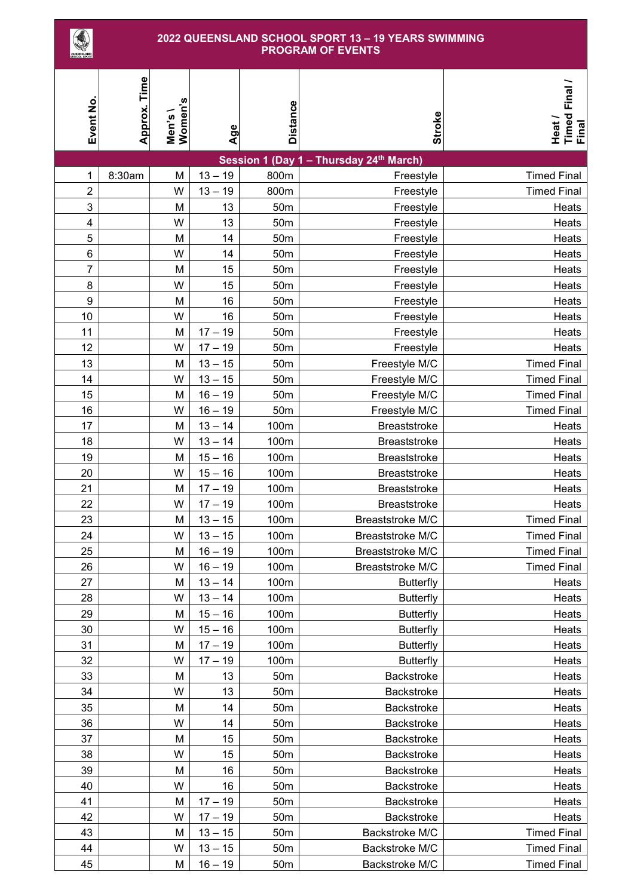## **QUEENSLAND SCHOOL SPORT 13 – 19 YEARS SWIMMING PROGRAM OF EVENTS**

| <b>SCHOOL SPORT</b> |              |                    |                        |                 |                                         |                                  |
|---------------------|--------------|--------------------|------------------------|-----------------|-----------------------------------------|----------------------------------|
| Event No            | Approx. Time | Men's \<br>Women's | Age                    | <b>Distance</b> | Stroke                                  | Timed Final /<br>Final<br>Heat / |
|                     |              |                    |                        |                 | Session 1 (Day 1 - Thursday 24th March) |                                  |
| 1                   | 8:30am       | M                  | $13 - 19$              | 800m            | Freestyle                               | <b>Timed Final</b>               |
| $\overline{2}$      |              | W                  | $13 - 19$              | 800m            | Freestyle                               | <b>Timed Final</b>               |
| 3                   |              | M                  | 13                     | 50 <sub>m</sub> | Freestyle                               | Heats                            |
| 4                   |              | W                  | 13                     | 50 <sub>m</sub> | Freestyle                               | Heats                            |
| 5                   |              | M                  | 14                     | 50 <sub>m</sub> | Freestyle                               | Heats                            |
| 6                   |              | W                  | 14                     | 50 <sub>m</sub> | Freestyle                               | Heats                            |
| 7                   |              | M                  | 15                     | 50 <sub>m</sub> | Freestyle                               | Heats                            |
| 8                   |              | W                  | 15                     | 50m             | Freestyle                               | Heats                            |
| $\boldsymbol{9}$    |              | M                  | 16                     | 50 <sub>m</sub> | Freestyle                               | Heats                            |
| 10                  |              | W                  | 16                     | 50 <sub>m</sub> | Freestyle                               | Heats                            |
| 11                  |              | M                  | $17 - 19$              | 50 <sub>m</sub> | Freestyle                               | Heats                            |
| 12                  |              | W                  | $17 - 19$              | 50 <sub>m</sub> | Freestyle                               | Heats                            |
| 13                  |              | M                  | $13 - 15$              | 50 <sub>m</sub> | Freestyle M/C                           | <b>Timed Final</b>               |
| 14                  |              | W                  | $13 - 15$              | 50 <sub>m</sub> | Freestyle M/C                           | <b>Timed Final</b>               |
| 15                  |              | M                  | $16 - 19$              | 50 <sub>m</sub> | Freestyle M/C                           | <b>Timed Final</b>               |
| 16                  |              | W                  | $16 - 19$              | 50 <sub>m</sub> | Freestyle M/C                           | <b>Timed Final</b>               |
| 17                  |              | M                  | $13 - 14$              | 100m            | Breaststroke                            | Heats                            |
| 18                  |              | W                  | $13 - 14$              | 100m            | <b>Breaststroke</b>                     | Heats                            |
| 19                  |              | M                  | $15 - 16$              | 100m            | <b>Breaststroke</b>                     | Heats                            |
| 20                  |              | W                  | $15 - 16$              | 100m            | Breaststroke                            | Heats                            |
| 21                  |              | M                  | $17 - 19$              | 100m            | Breaststroke                            | Heats                            |
| 22                  |              | W                  | $17 - 19$              | 100m            | <b>Breaststroke</b>                     | Heats                            |
| 23<br>24            |              | M<br>W             | $13 - 15$<br>$13 - 15$ | 100m            | Breaststroke M/C                        | <b>Timed Final</b>               |
|                     |              |                    |                        | 100m            | Breaststroke M/C                        | <b>Timed Final</b>               |
| 25<br>26            |              | M<br>W             | $16 - 19$<br>$16 - 19$ | 100m<br>100m    | Breaststroke M/C<br>Breaststroke M/C    | <b>Timed Final</b>               |
| 27                  |              | М                  | $13 - 14$              | 100m            | <b>Butterfly</b>                        | <b>Timed Final</b><br>Heats      |
| 28                  |              | W                  | $13 - 14$              | 100m            | <b>Butterfly</b>                        | Heats                            |
| 29                  |              | М                  | $15 - 16$              | 100m            | <b>Butterfly</b>                        | Heats                            |
| 30                  |              | W                  | $15 - 16$              | 100m            | <b>Butterfly</b>                        | Heats                            |
| 31                  |              | M                  | $17 - 19$              | 100m            | <b>Butterfly</b>                        | Heats                            |
| 32                  |              | W                  | $17 - 19$              | 100m            | <b>Butterfly</b>                        | Heats                            |
| 33                  |              | M                  | 13                     | 50 <sub>m</sub> | Backstroke                              | Heats                            |
| 34                  |              | W                  | 13                     | 50 <sub>m</sub> | Backstroke                              | Heats                            |
| 35                  |              | M                  | 14                     | 50 <sub>m</sub> | <b>Backstroke</b>                       | Heats                            |
| 36                  |              | W                  | 14                     | 50 <sub>m</sub> | <b>Backstroke</b>                       | Heats                            |
| 37                  |              | M                  | 15                     | 50 <sub>m</sub> | Backstroke                              | Heats                            |
| 38                  |              | W                  | 15                     | 50 <sub>m</sub> | Backstroke                              | Heats                            |
| 39                  |              | M                  | 16                     | 50 <sub>m</sub> | <b>Backstroke</b>                       | Heats                            |
| 40                  |              | W                  | 16                     | 50 <sub>m</sub> | Backstroke                              | Heats                            |
| 41                  |              | M                  | $17 - 19$              | 50 <sub>m</sub> | Backstroke                              | Heats                            |
| 42                  |              | W                  | $17 - 19$              | 50 <sub>m</sub> | Backstroke                              | Heats                            |
| 43                  |              | M                  | $13 - 15$              | 50 <sub>m</sub> | Backstroke M/C                          | <b>Timed Final</b>               |
| 44                  |              | W                  | $13 - 15$              | 50 <sub>m</sub> | Backstroke M/C                          | <b>Timed Final</b>               |
| 45                  |              | M                  | $16 - 19$              | 50 <sub>m</sub> | Backstroke M/C                          | <b>Timed Final</b>               |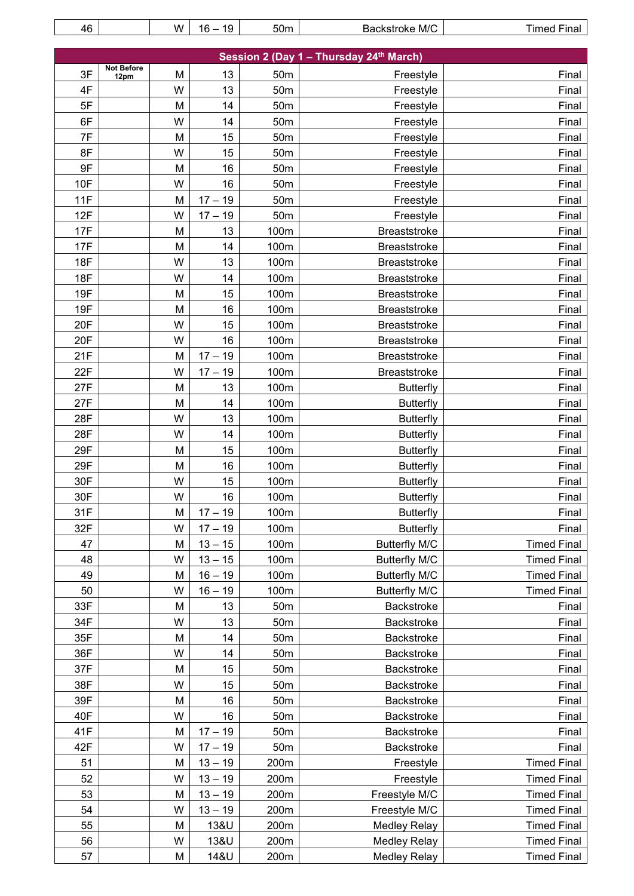| 46                                                                       |      | W | $16 - 19$ | 50 <sub>m</sub> | Backstroke M/C       | <b>Timed Final</b> |  |  |
|--------------------------------------------------------------------------|------|---|-----------|-----------------|----------------------|--------------------|--|--|
|                                                                          |      |   |           |                 |                      |                    |  |  |
| Session 2 (Day 1 - Thursday 24 <sup>th</sup> March)<br><b>Not Before</b> |      |   |           |                 |                      |                    |  |  |
| 3F                                                                       | 12pm | M | 13        | 50 <sub>m</sub> | Freestyle            | Final              |  |  |
| 4F                                                                       |      | W | 13        | 50 <sub>m</sub> | Freestyle            | Final              |  |  |
| 5F                                                                       |      | M | 14        | 50 <sub>m</sub> | Freestyle            | Final              |  |  |
| 6F                                                                       |      | W | 14        | 50 <sub>m</sub> | Freestyle            | Final              |  |  |
| 7F                                                                       |      | M | 15        | 50 <sub>m</sub> | Freestyle            | Final              |  |  |
| 8F                                                                       |      | W | 15        | 50 <sub>m</sub> | Freestyle            | Final              |  |  |
| 9F                                                                       |      | M | 16        | 50 <sub>m</sub> | Freestyle            | Final              |  |  |
| 10F                                                                      |      | W | 16        | 50 <sub>m</sub> | Freestyle            | Final              |  |  |
| 11F                                                                      |      | M | $17 - 19$ | 50 <sub>m</sub> | Freestyle            | Final              |  |  |
| 12F                                                                      |      | W | $17 - 19$ | 50 <sub>m</sub> | Freestyle            | Final              |  |  |
| 17F                                                                      |      | M | 13        | 100m            | <b>Breaststroke</b>  | Final              |  |  |
| 17F                                                                      |      | M | 14        | 100m            | <b>Breaststroke</b>  | Final              |  |  |
| 18F                                                                      |      | W | 13        | 100m            | <b>Breaststroke</b>  | Final              |  |  |
| 18F                                                                      |      | W | 14        | 100m            | <b>Breaststroke</b>  | Final              |  |  |
| 19F                                                                      |      | M | 15        | 100m            | <b>Breaststroke</b>  | Final              |  |  |
| 19F                                                                      |      | Μ | 16        | 100m            | <b>Breaststroke</b>  | Final              |  |  |
| 20F                                                                      |      | W | 15        | 100m            | <b>Breaststroke</b>  | Final              |  |  |
| 20F                                                                      |      | W | 16        | 100m            | <b>Breaststroke</b>  | Final              |  |  |
| 21F                                                                      |      | M | $17 - 19$ | 100m            | <b>Breaststroke</b>  | Final              |  |  |
| 22F                                                                      |      | W | $17 - 19$ | 100m            | <b>Breaststroke</b>  | Final              |  |  |
| 27F                                                                      |      | M | 13        | 100m            | <b>Butterfly</b>     | Final              |  |  |
| 27F                                                                      |      | M | 14        | 100m            | <b>Butterfly</b>     | Final              |  |  |
| 28F                                                                      |      | W | 13        | 100m            | <b>Butterfly</b>     | Final              |  |  |
| 28F                                                                      |      | W | 14        | 100m            | <b>Butterfly</b>     | Final              |  |  |
| 29F                                                                      |      | M | 15        | 100m            | <b>Butterfly</b>     | Final              |  |  |
| 29F                                                                      |      | М | 16        | 100m            | <b>Butterfly</b>     | Final              |  |  |
| 30F                                                                      |      | W | 15        | 100m            | <b>Butterfly</b>     | Final              |  |  |
| 30F                                                                      |      | W | 16        | 100m            | <b>Butterfly</b>     | Final              |  |  |
| 31F                                                                      |      | M | $17 - 19$ | 100m            | <b>Butterfly</b>     | Final              |  |  |
| 32F                                                                      |      | W | $17 - 19$ | 100m            | <b>Butterfly</b>     | Final              |  |  |
| 47                                                                       |      | M | $13 - 15$ | 100m            | <b>Butterfly M/C</b> | <b>Timed Final</b> |  |  |
| 48                                                                       |      | W | $13 - 15$ | 100m            | <b>Butterfly M/C</b> | <b>Timed Final</b> |  |  |
| 49                                                                       |      | M | $16 - 19$ | 100m            | <b>Butterfly M/C</b> | <b>Timed Final</b> |  |  |
| 50                                                                       |      | W | $16 - 19$ | 100m            | <b>Butterfly M/C</b> | <b>Timed Final</b> |  |  |
| 33F                                                                      |      | M | 13        | 50 <sub>m</sub> | Backstroke           | Final              |  |  |
| 34F                                                                      |      | W | 13        | 50 <sub>m</sub> | <b>Backstroke</b>    | Final              |  |  |
| 35F                                                                      |      | M | 14        | 50 <sub>m</sub> | <b>Backstroke</b>    | Final              |  |  |
| 36F                                                                      |      | W | 14        | 50 <sub>m</sub> | Backstroke           | Final              |  |  |
| 37F                                                                      |      | M | 15        | 50 <sub>m</sub> | Backstroke           | Final              |  |  |
| 38F                                                                      |      | W | 15        | 50 <sub>m</sub> | Backstroke           | Final              |  |  |
| 39F                                                                      |      | M | 16        | 50 <sub>m</sub> | Backstroke           | Final              |  |  |
| 40F                                                                      |      | W | 16        | 50 <sub>m</sub> | Backstroke           | Final              |  |  |
| 41F                                                                      |      | M | $17 - 19$ | 50 <sub>m</sub> | Backstroke           | Final              |  |  |
| 42F                                                                      |      | W | $17 - 19$ | 50 <sub>m</sub> | <b>Backstroke</b>    | Final              |  |  |
| 51                                                                       |      | M | $13 - 19$ | 200m            | Freestyle            | <b>Timed Final</b> |  |  |
| 52                                                                       |      | W | $13 - 19$ | 200m            | Freestyle            | <b>Timed Final</b> |  |  |
| 53                                                                       |      | M | $13 - 19$ | 200m            | Freestyle M/C        | <b>Timed Final</b> |  |  |
| 54                                                                       |      | W | $13 - 19$ | 200m            | Freestyle M/C        | <b>Timed Final</b> |  |  |
| 55                                                                       |      | M | 13&U      | 200m            | <b>Medley Relay</b>  | <b>Timed Final</b> |  |  |
| 56                                                                       |      | W | 13&U      | 200m            | <b>Medley Relay</b>  | <b>Timed Final</b> |  |  |
| 57                                                                       |      | M | 14&U      | 200m            | <b>Medley Relay</b>  | <b>Timed Final</b> |  |  |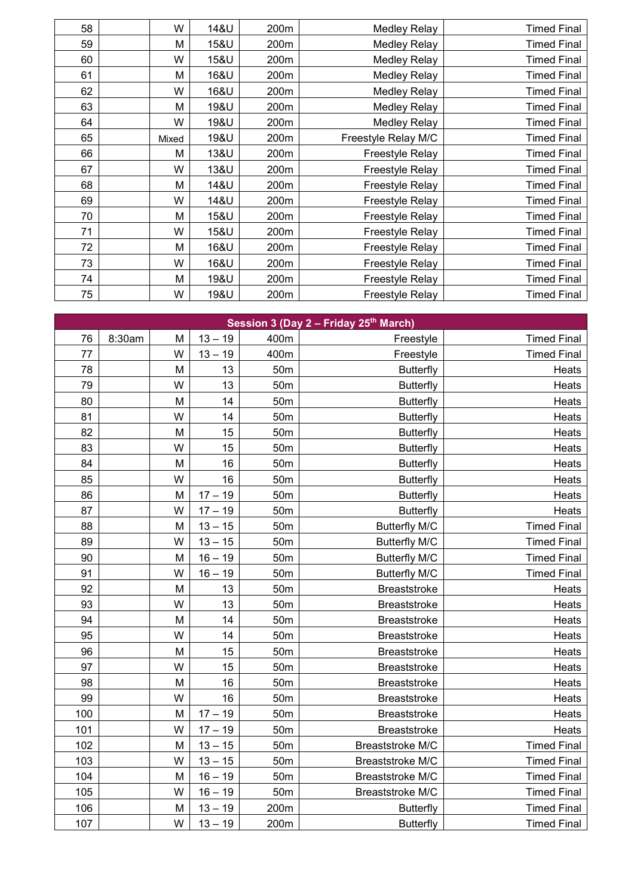| 58 | W     | 14&U | 200m | <b>Medley Relay</b> | <b>Timed Final</b> |
|----|-------|------|------|---------------------|--------------------|
| 59 | М     | 15&U | 200m | <b>Medley Relay</b> | <b>Timed Final</b> |
| 60 | W     | 15&U | 200m | <b>Medley Relay</b> | <b>Timed Final</b> |
| 61 | M     | 16&U | 200m | <b>Medley Relay</b> | <b>Timed Final</b> |
| 62 | W     | 16&U | 200m | <b>Medley Relay</b> | <b>Timed Final</b> |
| 63 | M     | 19&U | 200m | <b>Medley Relay</b> | <b>Timed Final</b> |
| 64 | W     | 19&U | 200m | <b>Medley Relay</b> | <b>Timed Final</b> |
| 65 | Mixed | 19&U | 200m | Freestyle Relay M/C | <b>Timed Final</b> |
| 66 | м     | 13&U | 200m | Freestyle Relay     | <b>Timed Final</b> |
| 67 | W     | 13&U | 200m | Freestyle Relay     | <b>Timed Final</b> |
| 68 | М     | 14&U | 200m | Freestyle Relay     | <b>Timed Final</b> |
| 69 | W     | 14&U | 200m | Freestyle Relay     | <b>Timed Final</b> |
| 70 | М     | 15&U | 200m | Freestyle Relay     | <b>Timed Final</b> |
| 71 | W     | 15&U | 200m | Freestyle Relay     | <b>Timed Final</b> |
| 72 | M     | 16&U | 200m | Freestyle Relay     | <b>Timed Final</b> |
| 73 | W     | 16&U | 200m | Freestyle Relay     | <b>Timed Final</b> |
| 74 | M     | 19&U | 200m | Freestyle Relay     | <b>Timed Final</b> |
| 75 | W     | 19&U | 200m | Freestyle Relay     | <b>Timed Final</b> |

| Session 3 (Day 2 - Friday 25th March) |        |   |           |                 |                      |                    |  |  |
|---------------------------------------|--------|---|-----------|-----------------|----------------------|--------------------|--|--|
| 76                                    | 8:30am | M | $13 - 19$ | 400m            | Freestyle            | <b>Timed Final</b> |  |  |
| 77                                    |        | W | $13 - 19$ | 400m            | Freestyle            | <b>Timed Final</b> |  |  |
| 78                                    |        | M | 13        | 50 <sub>m</sub> | <b>Butterfly</b>     | Heats              |  |  |
| 79                                    |        | W | 13        | 50 <sub>m</sub> | <b>Butterfly</b>     | Heats              |  |  |
| 80                                    |        | M | 14        | 50 <sub>m</sub> | <b>Butterfly</b>     | Heats              |  |  |
| 81                                    |        | W | 14        | 50 <sub>m</sub> | <b>Butterfly</b>     | Heats              |  |  |
| 82                                    |        | M | 15        | 50 <sub>m</sub> | <b>Butterfly</b>     | Heats              |  |  |
| 83                                    |        | W | 15        | 50 <sub>m</sub> | <b>Butterfly</b>     | Heats              |  |  |
| 84                                    |        | M | 16        | 50 <sub>m</sub> | <b>Butterfly</b>     | Heats              |  |  |
| 85                                    |        | W | 16        | 50 <sub>m</sub> | <b>Butterfly</b>     | Heats              |  |  |
| 86                                    |        | M | $17 - 19$ | 50 <sub>m</sub> | <b>Butterfly</b>     | Heats              |  |  |
| 87                                    |        | W | $17 - 19$ | 50 <sub>m</sub> | <b>Butterfly</b>     | Heats              |  |  |
| 88                                    |        | M | $13 - 15$ | 50 <sub>m</sub> | <b>Butterfly M/C</b> | <b>Timed Final</b> |  |  |
| 89                                    |        | W | $13 - 15$ | 50 <sub>m</sub> | <b>Butterfly M/C</b> | <b>Timed Final</b> |  |  |
| 90                                    |        | M | $16 - 19$ | 50 <sub>m</sub> | <b>Butterfly M/C</b> | <b>Timed Final</b> |  |  |
| 91                                    |        | W | $16 - 19$ | 50 <sub>m</sub> | <b>Butterfly M/C</b> | <b>Timed Final</b> |  |  |
| 92                                    |        | M | 13        | 50 <sub>m</sub> | <b>Breaststroke</b>  | Heats              |  |  |
| 93                                    |        | W | 13        | 50 <sub>m</sub> | Breaststroke         | Heats              |  |  |
| 94                                    |        | M | 14        | 50 <sub>m</sub> | <b>Breaststroke</b>  | Heats              |  |  |
| 95                                    |        | W | 14        | 50 <sub>m</sub> | <b>Breaststroke</b>  | Heats              |  |  |
| 96                                    |        | M | 15        | 50 <sub>m</sub> | <b>Breaststroke</b>  | Heats              |  |  |
| 97                                    |        | W | 15        | 50 <sub>m</sub> | <b>Breaststroke</b>  | Heats              |  |  |
| 98                                    |        | M | 16        | 50 <sub>m</sub> | <b>Breaststroke</b>  | Heats              |  |  |
| 99                                    |        | W | 16        | 50 <sub>m</sub> | <b>Breaststroke</b>  | Heats              |  |  |
| 100                                   |        | M | $17 - 19$ | 50 <sub>m</sub> | <b>Breaststroke</b>  | Heats              |  |  |
| 101                                   |        | W | $17 - 19$ | 50 <sub>m</sub> | <b>Breaststroke</b>  | Heats              |  |  |
| 102                                   |        | M | $13 - 15$ | 50 <sub>m</sub> | Breaststroke M/C     | <b>Timed Final</b> |  |  |
| 103                                   |        | W | $13 - 15$ | 50 <sub>m</sub> | Breaststroke M/C     | <b>Timed Final</b> |  |  |
| 104                                   |        | M | $16 - 19$ | 50 <sub>m</sub> | Breaststroke M/C     | <b>Timed Final</b> |  |  |
| 105                                   |        | W | $16 - 19$ | 50 <sub>m</sub> | Breaststroke M/C     | <b>Timed Final</b> |  |  |
| 106                                   |        | M | $13 - 19$ | 200m            | <b>Butterfly</b>     | <b>Timed Final</b> |  |  |
| 107                                   |        | W | $13 - 19$ | 200m            | <b>Butterfly</b>     | <b>Timed Final</b> |  |  |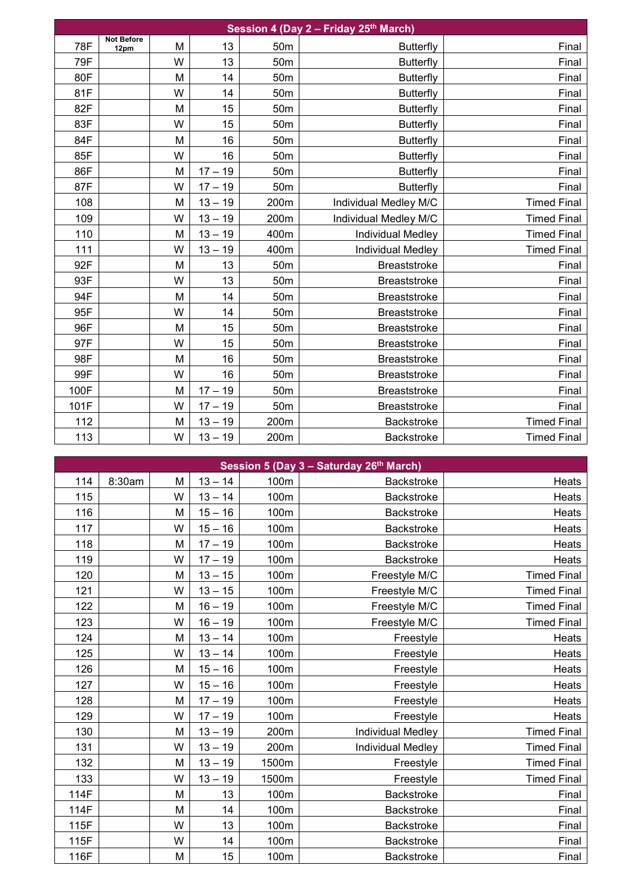| Session 4 (Day 2 - Friday 25th March) |                           |   |           |                 |                          |                    |  |  |
|---------------------------------------|---------------------------|---|-----------|-----------------|--------------------------|--------------------|--|--|
| 78F                                   | <b>Not Before</b><br>12pm | M | 13        | 50 <sub>m</sub> | <b>Butterfly</b>         | Final              |  |  |
| 79F                                   |                           | W | 13        | 50 <sub>m</sub> | <b>Butterfly</b>         | Final              |  |  |
| 80F                                   |                           | M | 14        | 50 <sub>m</sub> | <b>Butterfly</b>         | Final              |  |  |
| 81F                                   |                           | W | 14        | 50 <sub>m</sub> | <b>Butterfly</b>         | Final              |  |  |
| 82F                                   |                           | M | 15        | 50 <sub>m</sub> | <b>Butterfly</b>         | Final              |  |  |
| 83F                                   |                           | W | 15        | 50 <sub>m</sub> | <b>Butterfly</b>         | Final              |  |  |
| 84F                                   |                           | M | 16        | 50 <sub>m</sub> | <b>Butterfly</b>         | Final              |  |  |
| 85F                                   |                           | W | 16        | 50 <sub>m</sub> | <b>Butterfly</b>         | Final              |  |  |
| 86F                                   |                           | M | $17 - 19$ | 50 <sub>m</sub> | <b>Butterfly</b>         | Final              |  |  |
| 87F                                   |                           | W | $17 - 19$ | 50 <sub>m</sub> | <b>Butterfly</b>         | Final              |  |  |
| 108                                   |                           | M | $13 - 19$ | 200m            | Individual Medley M/C    | <b>Timed Final</b> |  |  |
| 109                                   |                           | W | $13 - 19$ | 200m            | Individual Medley M/C    | <b>Timed Final</b> |  |  |
| 110                                   |                           | M | $13 - 19$ | 400m            | <b>Individual Medley</b> | <b>Timed Final</b> |  |  |
| 111                                   |                           | W | $13 - 19$ | 400m            | <b>Individual Medley</b> | <b>Timed Final</b> |  |  |
| 92F                                   |                           | M | 13        | 50 <sub>m</sub> | <b>Breaststroke</b>      | Final              |  |  |
| 93F                                   |                           | W | 13        | 50 <sub>m</sub> | <b>Breaststroke</b>      | Final              |  |  |
| 94F                                   |                           | M | 14        | 50 <sub>m</sub> | <b>Breaststroke</b>      | Final              |  |  |
| 95F                                   |                           | W | 14        | 50 <sub>m</sub> | <b>Breaststroke</b>      | Final              |  |  |
| 96F                                   |                           | M | 15        | 50 <sub>m</sub> | <b>Breaststroke</b>      | Final              |  |  |
| 97F                                   |                           | W | 15        | 50 <sub>m</sub> | <b>Breaststroke</b>      | Final              |  |  |
| 98F                                   |                           | M | 16        | 50 <sub>m</sub> | <b>Breaststroke</b>      | Final              |  |  |
| 99F                                   |                           | W | 16        | 50 <sub>m</sub> | <b>Breaststroke</b>      | Final              |  |  |
| 100F                                  |                           | M | $17 - 19$ | 50 <sub>m</sub> | Breaststroke             | Final              |  |  |
| 101F                                  |                           | W | $17 - 19$ | 50 <sub>m</sub> | <b>Breaststroke</b>      | Final              |  |  |
| 112                                   |                           | M | $13 - 19$ | 200m            | Backstroke               | <b>Timed Final</b> |  |  |
| 113                                   |                           | W | $13 - 19$ | 200m            | <b>Backstroke</b>        | <b>Timed Final</b> |  |  |

| Session 5 (Day 3 - Saturday 26th March) |        |   |           |       |                          |                    |  |  |
|-----------------------------------------|--------|---|-----------|-------|--------------------------|--------------------|--|--|
| 114                                     | 8:30am | М | $13 - 14$ | 100m  | Backstroke               | Heats              |  |  |
| 115                                     |        | W | $13 - 14$ | 100m  | <b>Backstroke</b>        | Heats              |  |  |
| 116                                     |        | M | $15 - 16$ | 100m  | <b>Backstroke</b>        | Heats              |  |  |
| 117                                     |        | W | $15 - 16$ | 100m  | Backstroke               | Heats              |  |  |
| 118                                     |        | M | $17 - 19$ | 100m  | <b>Backstroke</b>        | Heats              |  |  |
| 119                                     |        | W | $17 - 19$ | 100m  | Backstroke               | Heats              |  |  |
| 120                                     |        | М | $13 - 15$ | 100m  | Freestyle M/C            | <b>Timed Final</b> |  |  |
| 121                                     |        | W | $13 - 15$ | 100m  | Freestyle M/C            | <b>Timed Final</b> |  |  |
| 122                                     |        | М | $16 - 19$ | 100m  | Freestyle M/C            | <b>Timed Final</b> |  |  |
| 123                                     |        | W | $16 - 19$ | 100m  | Freestyle M/C            | <b>Timed Final</b> |  |  |
| 124                                     |        | M | $13 - 14$ | 100m  | Freestyle                | Heats              |  |  |
| 125                                     |        | W | $13 - 14$ | 100m  | Freestyle                | Heats              |  |  |
| 126                                     |        | M | $15 - 16$ | 100m  | Freestyle                | Heats              |  |  |
| 127                                     |        | W | $15 - 16$ | 100m  | Freestyle                | Heats              |  |  |
| 128                                     |        | M | $17 - 19$ | 100m  | Freestyle                | Heats              |  |  |
| 129                                     |        | W | $17 - 19$ | 100m  | Freestyle                | Heats              |  |  |
| 130                                     |        | M | $13 - 19$ | 200m  | <b>Individual Medley</b> | <b>Timed Final</b> |  |  |
| 131                                     |        | W | $13 - 19$ | 200m  | <b>Individual Medley</b> | <b>Timed Final</b> |  |  |
| 132                                     |        | M | $13 - 19$ | 1500m | Freestyle                | <b>Timed Final</b> |  |  |
| 133                                     |        | W | $13 - 19$ | 1500m | Freestyle                | <b>Timed Final</b> |  |  |
| 114F                                    |        | M | 13        | 100m  | Backstroke               | Final              |  |  |
| 114F                                    |        | M | 14        | 100m  | <b>Backstroke</b>        | Final              |  |  |
| 115F                                    |        | W | 13        | 100m  | <b>Backstroke</b>        | Final              |  |  |
| 115F                                    |        | W | 14        | 100m  | Backstroke               | Final              |  |  |
| 116F                                    |        | M | 15        | 100m  | <b>Backstroke</b>        | Final              |  |  |